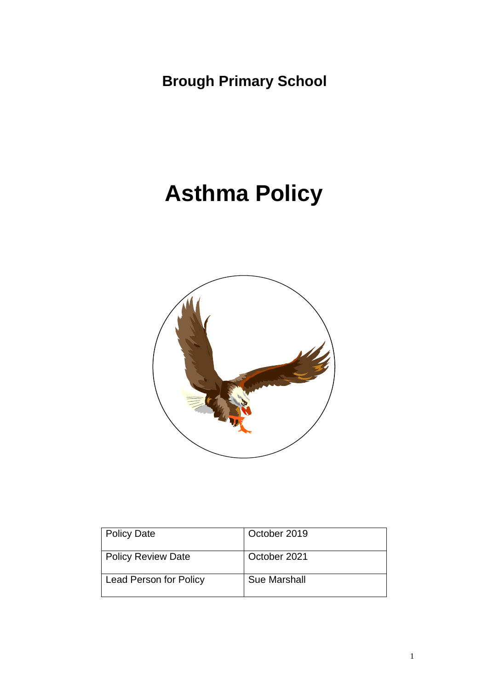**Brough Primary School**

# **Asthma Policy**



| <b>Policy Date</b>            | October 2019        |
|-------------------------------|---------------------|
| <b>Policy Review Date</b>     | October 2021        |
| <b>Lead Person for Policy</b> | <b>Sue Marshall</b> |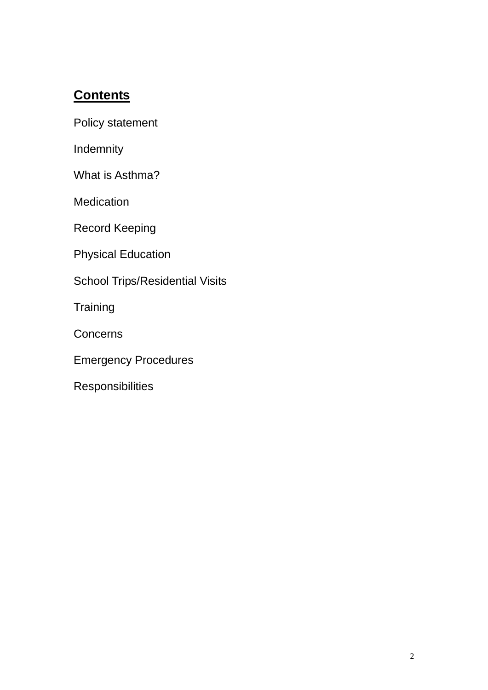# **Contents**

[Policy statement](#page-1-0)

[Indemnity](#page-2-0)

[What is Asthma?](#page-2-1)

**[Medication](#page-2-2)** 

[Record Keeping](#page-3-0)

[Physical Education](#page-3-1)

[School Trips/Residential Visits](#page-3-2)

**[Training](#page-4-0)** 

**[Concerns](#page-4-1)** 

[Emergency Procedures](#page-4-2)

<span id="page-1-0"></span>**[Responsibilities](#page-5-0)**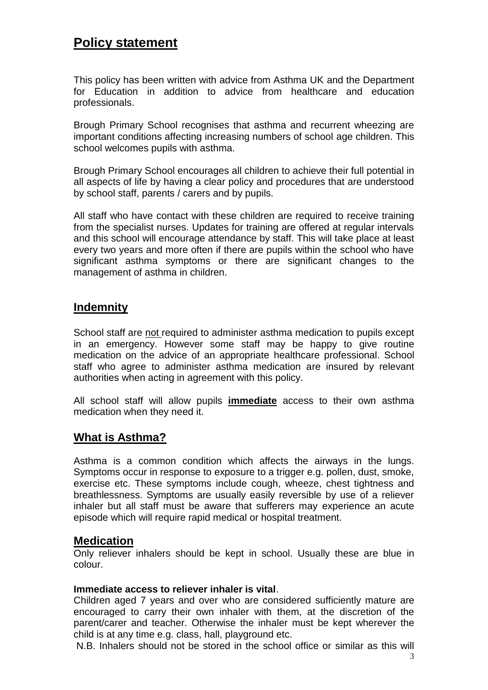# **Policy statement**

This policy has been written with advice from Asthma UK and the Department for Education in addition to advice from healthcare and education professionals.

Brough Primary School recognises that asthma and recurrent wheezing are important conditions affecting increasing numbers of school age children. This school welcomes pupils with asthma.

Brough Primary School encourages all children to achieve their full potential in all aspects of life by having a clear policy and procedures that are understood by school staff, parents / carers and by pupils.

All staff who have contact with these children are required to receive training from the specialist nurses. Updates for training are offered at regular intervals and this school will encourage attendance by staff. This will take place at least every two years and more often if there are pupils within the school who have significant asthma symptoms or there are significant changes to the management of asthma in children.

#### <span id="page-2-0"></span>**Indemnity**

School staff are not required to administer asthma medication to pupils except in an emergency. However some staff may be happy to give routine medication on the advice of an appropriate healthcare professional. School staff who agree to administer asthma medication are insured by relevant authorities when acting in agreement with this policy.

All school staff will allow pupils **immediate** access to their own asthma medication when they need it.

#### <span id="page-2-1"></span>**What is Asthma?**

Asthma is a common condition which affects the airways in the lungs. Symptoms occur in response to exposure to a trigger e.g. pollen, dust, smoke, exercise etc. These symptoms include cough, wheeze, chest tightness and breathlessness. Symptoms are usually easily reversible by use of a reliever inhaler but all staff must be aware that sufferers may experience an acute episode which will require rapid medical or hospital treatment.

#### <span id="page-2-2"></span>**Medication**

Only reliever inhalers should be kept in school. Usually these are blue in colour.

#### **Immediate access to reliever inhaler is vital**.

Children aged 7 years and over who are considered sufficiently mature are encouraged to carry their own inhaler with them, at the discretion of the parent/carer and teacher. Otherwise the inhaler must be kept wherever the child is at any time e.g. class, hall, playground etc.

N.B. Inhalers should not be stored in the school office or similar as this will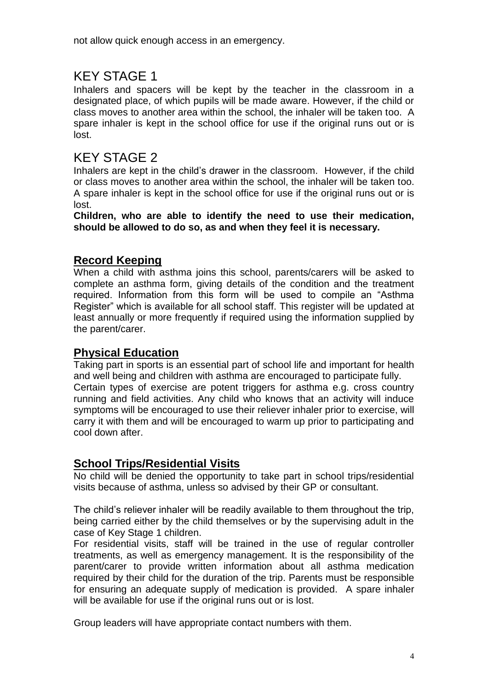not allow quick enough access in an emergency.

# KEY STAGE 1

Inhalers and spacers will be kept by the teacher in the classroom in a designated place, of which pupils will be made aware. However, if the child or class moves to another area within the school, the inhaler will be taken too. A spare inhaler is kept in the school office for use if the original runs out or is lost.

# KEY STAGE 2

Inhalers are kept in the child's drawer in the classroom. However, if the child or class moves to another area within the school, the inhaler will be taken too. A spare inhaler is kept in the school office for use if the original runs out or is lost.

**Children, who are able to identify the need to use their medication, should be allowed to do so, as and when they feel it is necessary.**

# <span id="page-3-0"></span>**Record Keeping**

When a child with asthma joins this school, parents/carers will be asked to complete an asthma form, giving details of the condition and the treatment required. Information from this form will be used to compile an "Asthma Register" which is available for all school staff. This register will be updated at least annually or more frequently if required using the information supplied by the parent/carer.

# <span id="page-3-1"></span>**Physical Education**

Taking part in sports is an essential part of school life and important for health and well being and children with asthma are encouraged to participate fully. Certain types of exercise are potent triggers for asthma e.g. cross country running and field activities. Any child who knows that an activity will induce symptoms will be encouraged to use their reliever inhaler prior to exercise, will carry it with them and will be encouraged to warm up prior to participating and cool down after.

# <span id="page-3-2"></span>**School Trips/Residential Visits**

No child will be denied the opportunity to take part in school trips/residential visits because of asthma, unless so advised by their GP or consultant.

The child's reliever inhaler will be readily available to them throughout the trip, being carried either by the child themselves or by the supervising adult in the case of Key Stage 1 children.

For residential visits, staff will be trained in the use of regular controller treatments, as well as emergency management. It is the responsibility of the parent/carer to provide written information about all asthma medication required by their child for the duration of the trip. Parents must be responsible for ensuring an adequate supply of medication is provided. A spare inhaler will be available for use if the original runs out or is lost.

Group leaders will have appropriate contact numbers with them.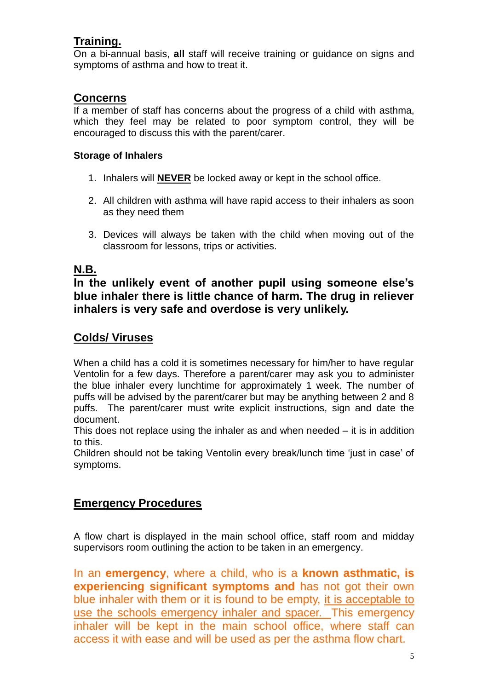# <span id="page-4-0"></span>**Training.**

On a bi-annual basis, **all** staff will receive training or guidance on signs and symptoms of asthma and how to treat it.

#### <span id="page-4-1"></span>**Concerns**

If a member of staff has concerns about the progress of a child with asthma, which they feel may be related to poor symptom control, they will be encouraged to discuss this with the parent/carer.

#### **Storage of Inhalers**

- 1. Inhalers will **NEVER** be locked away or kept in the school office.
- 2. All children with asthma will have rapid access to their inhalers as soon as they need them
- 3. Devices will always be taken with the child when moving out of the classroom for lessons, trips or activities.

# **N.B.**

**In the unlikely event of another pupil using someone else's blue inhaler there is little chance of harm. The drug in reliever inhalers is very safe and overdose is very unlikely.** 

## <span id="page-4-2"></span>**Colds/ Viruses**

When a child has a cold it is sometimes necessary for him/her to have regular Ventolin for a few days. Therefore a parent/carer may ask you to administer the blue inhaler every lunchtime for approximately 1 week. The number of puffs will be advised by the parent/carer but may be anything between 2 and 8 puffs. The parent/carer must write explicit instructions, sign and date the document.

This does not replace using the inhaler as and when needed  $-$  it is in addition to this.

Children should not be taking Ventolin every break/lunch time 'just in case' of symptoms.

# **Emergency Procedures**

A flow chart is displayed in the main school office, staff room and midday supervisors room outlining the action to be taken in an emergency.

In an **emergency**, where a child, who is a **known asthmatic, is experiencing significant symptoms and** has not got their own blue inhaler with them or it is found to be empty, it is acceptable to use the schools emergency inhaler and spacer. This emergency inhaler will be kept in the main school office, where staff can access it with ease and will be used as per the asthma flow chart.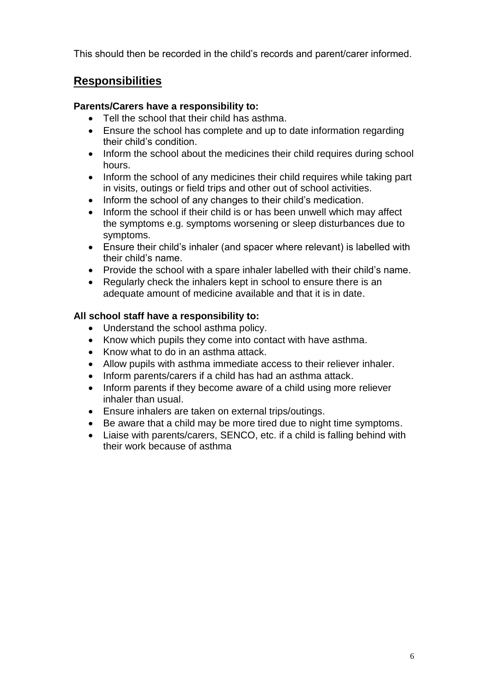This should then be recorded in the child's records and parent/carer informed.

# <span id="page-5-0"></span>**Responsibilities**

#### **Parents/Carers have a responsibility to:**

- Tell the school that their child has asthma.
- Ensure the school has complete and up to date information regarding their child's condition.
- Inform the school about the medicines their child requires during school hours.
- Inform the school of any medicines their child requires while taking part in visits, outings or field trips and other out of school activities.
- Inform the school of any changes to their child's medication.
- Inform the school if their child is or has been unwell which may affect the symptoms e.g. symptoms worsening or sleep disturbances due to symptoms.
- Ensure their child's inhaler (and spacer where relevant) is labelled with their child's name.
- Provide the school with a spare inhaler labelled with their child's name.
- Regularly check the inhalers kept in school to ensure there is an adequate amount of medicine available and that it is in date.

## **All school staff have a responsibility to:**

- Understand the school asthma policy.
- Know which pupils they come into contact with have asthma.
- Know what to do in an asthma attack.
- Allow pupils with asthma immediate access to their reliever inhaler.
- Inform parents/carers if a child has had an asthma attack.
- Inform parents if they become aware of a child using more reliever inhaler than usual.
- Ensure inhalers are taken on external trips/outings.
- Be aware that a child may be more tired due to night time symptoms.
- Liaise with parents/carers, SENCO, etc. if a child is falling behind with their work because of asthma